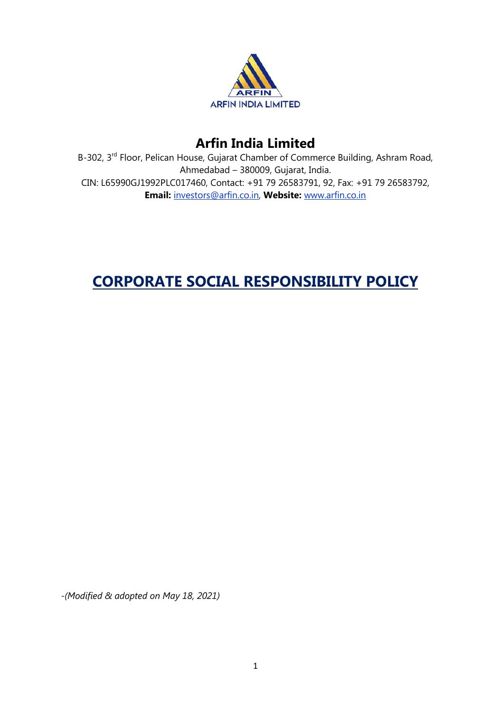

# **Arfin India Limited**

B-302, 3rd Floor, Pelican House, Gujarat Chamber of Commerce Building, Ashram Road, Ahmedabad – 380009, Gujarat, India. CIN: L65990GJ1992PLC017460, Contact: +91 79 26583791, 92, Fax: +91 79 26583792, **Email:** investors@arfin.co.in, **Website:** www.arfin.co.in

# **CORPORATE SOCIAL RESPONSIBILITY POLICY**

*-(Modified & adopted on May 18, 2021)*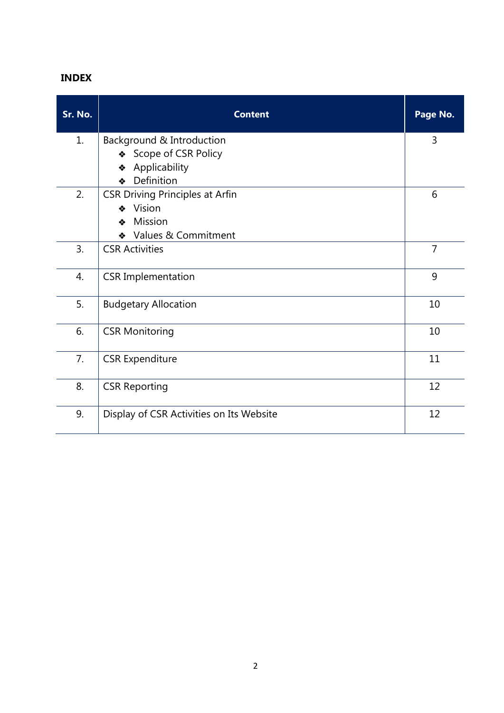## **INDEX**

| Sr. No. | <b>Content</b>                                                                                    | Page No.       |
|---------|---------------------------------------------------------------------------------------------------|----------------|
| 1.      | Background & Introduction<br>Scope of CSR Policy<br>❖<br>Applicability<br>❖<br>Definition<br>❖    | 3              |
| 2.      | <b>CSR Driving Principles at Arfin</b><br>Vision<br>❖<br>Mission<br>❖<br>Values & Commitment<br>❖ | 6              |
| 3.      | <b>CSR Activities</b>                                                                             | $\overline{7}$ |
| 4.      | <b>CSR Implementation</b>                                                                         | 9              |
| 5.      | <b>Budgetary Allocation</b>                                                                       | 10             |
| 6.      | <b>CSR Monitoring</b>                                                                             | 10             |
| 7.      | <b>CSR Expenditure</b>                                                                            | 11             |
| 8.      | <b>CSR Reporting</b>                                                                              | 12             |
| 9.      | Display of CSR Activities on Its Website                                                          | 12             |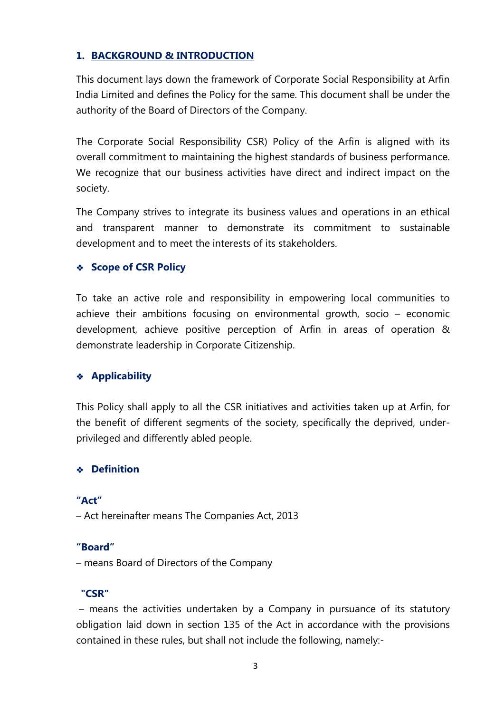## **1. BACKGROUND & INTRODUCTION**

This document lays down the framework of Corporate Social Responsibility at Arfin India Limited and defines the Policy for the same. This document shall be under the authority of the Board of Directors of the Company.

The Corporate Social Responsibility CSR) Policy of the Arfin is aligned with its overall commitment to maintaining the highest standards of business performance. We recognize that our business activities have direct and indirect impact on the society.

The Company strives to integrate its business values and operations in an ethical and transparent manner to demonstrate its commitment to sustainable development and to meet the interests of its stakeholders.

## **Scope of CSR Policy**

To take an active role and responsibility in empowering local communities to achieve their ambitions focusing on environmental growth, socio – economic development, achieve positive perception of Arfin in areas of operation & demonstrate leadership in Corporate Citizenship.

### **Applicability**

This Policy shall apply to all the CSR initiatives and activities taken up at Arfin, for the benefit of different segments of the society, specifically the deprived, underprivileged and differently abled people.

### **Definition**

**"Act"**  – Act hereinafter means The Companies Act, 2013

### **"Board"**

– means Board of Directors of the Company

### **"CSR"**

– means the activities undertaken by a Company in pursuance of its statutory obligation laid down in section 135 of the Act in accordance with the provisions contained in these rules, but shall not include the following, namely:-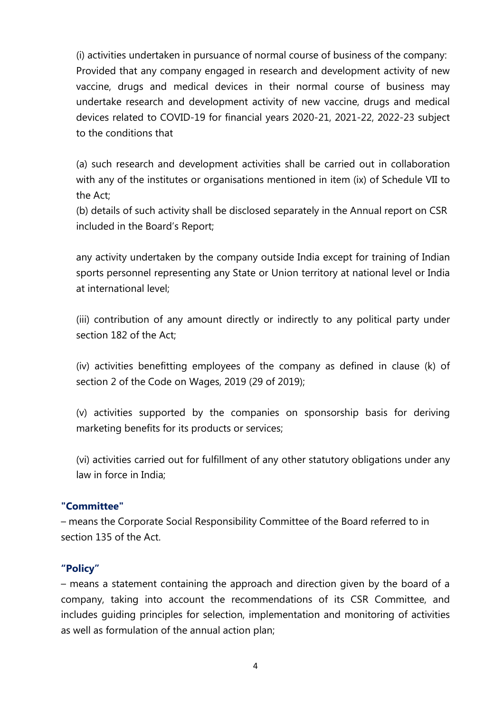(i) activities undertaken in pursuance of normal course of business of the company: Provided that any company engaged in research and development activity of new vaccine, drugs and medical devices in their normal course of business may undertake research and development activity of new vaccine, drugs and medical devices related to COVID-19 for financial years 2020-21, 2021-22, 2022-23 subject to the conditions that

(a) such research and development activities shall be carried out in collaboration with any of the institutes or organisations mentioned in item (ix) of Schedule VII to the Act;

(b) details of such activity shall be disclosed separately in the Annual report on CSR included in the Board's Report;

any activity undertaken by the company outside India except for training of Indian sports personnel representing any State or Union territory at national level or India at international level;

(iii) contribution of any amount directly or indirectly to any political party under section 182 of the Act;

(iv) activities benefitting employees of the company as defined in clause (k) of section 2 of the Code on Wages, 2019 (29 of 2019);

(v) activities supported by the companies on sponsorship basis for deriving marketing benefits for its products or services;

(vi) activities carried out for fulfillment of any other statutory obligations under any law in force in India;

### **"Committee"**

– means the Corporate Social Responsibility Committee of the Board referred to in section 135 of the Act.

#### **"Policy"**

– means a statement containing the approach and direction given by the board of a company, taking into account the recommendations of its CSR Committee, and includes guiding principles for selection, implementation and monitoring of activities as well as formulation of the annual action plan;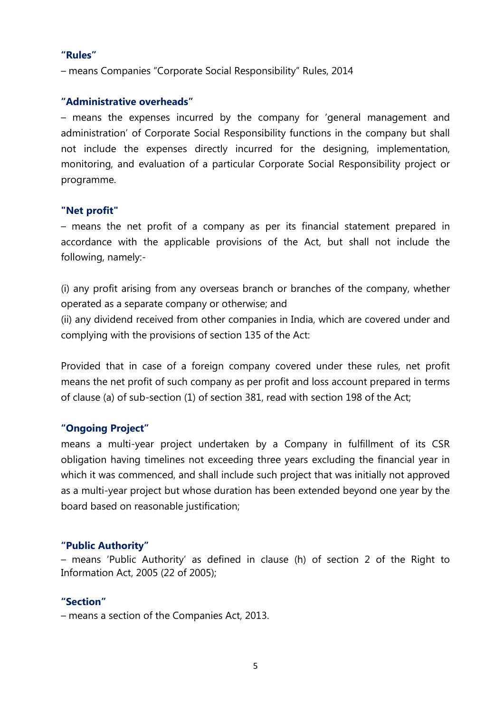#### **"Rules"**

– means Companies "Corporate Social Responsibility" Rules, 2014

#### **"Administrative overheads"**

– means the expenses incurred by the company for 'general management and administration' of Corporate Social Responsibility functions in the company but shall not include the expenses directly incurred for the designing, implementation, monitoring, and evaluation of a particular Corporate Social Responsibility project or programme.

#### **"Net profit"**

– means the net profit of a company as per its financial statement prepared in accordance with the applicable provisions of the Act, but shall not include the following, namely:-

(i) any profit arising from any overseas branch or branches of the company, whether operated as a separate company or otherwise; and

(ii) any dividend received from other companies in India, which are covered under and complying with the provisions of section 135 of the Act:

Provided that in case of a foreign company covered under these rules, net profit means the net profit of such company as per profit and loss account prepared in terms of clause (a) of sub-section (1) of section 381, read with section 198 of the Act;

#### **"Ongoing Project"**

means a multi-year project undertaken by a Company in fulfillment of its CSR obligation having timelines not exceeding three years excluding the financial year in which it was commenced, and shall include such project that was initially not approved as a multi-year project but whose duration has been extended beyond one year by the board based on reasonable justification;

#### **"Public Authority"**

– means 'Public Authority' as defined in clause (h) of section 2 of the Right to Information Act, 2005 (22 of 2005);

#### **"Section"**

– means a section of the Companies Act, 2013.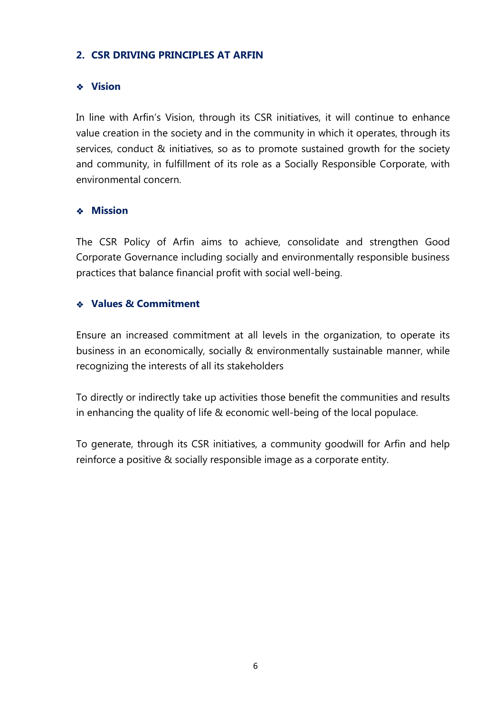## **2. CSR DRIVING PRINCIPLES AT ARFIN**

## **Vision**

In line with Arfin's Vision, through its CSR initiatives, it will continue to enhance value creation in the society and in the community in which it operates, through its services, conduct & initiatives, so as to promote sustained growth for the society and community, in fulfillment of its role as a Socially Responsible Corporate, with environmental concern.

### **Mission**

The CSR Policy of Arfin aims to achieve, consolidate and strengthen Good Corporate Governance including socially and environmentally responsible business practices that balance financial profit with social well-being.

## **Values & Commitment**

Ensure an increased commitment at all levels in the organization, to operate its business in an economically, socially & environmentally sustainable manner, while recognizing the interests of all its stakeholders

To directly or indirectly take up activities those benefit the communities and results in enhancing the quality of life & economic well-being of the local populace.

To generate, through its CSR initiatives, a community goodwill for Arfin and help reinforce a positive & socially responsible image as a corporate entity.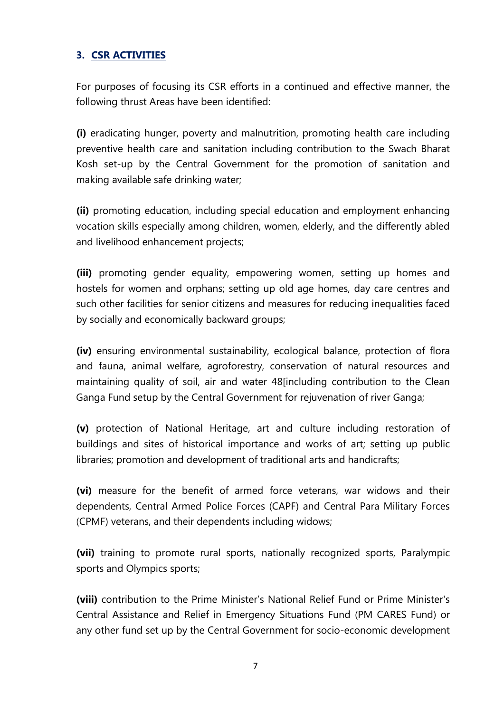## **3. CSR ACTIVITIES**

For purposes of focusing its CSR efforts in a continued and effective manner, the following thrust Areas have been identified:

**(i)** eradicating hunger, poverty and malnutrition, promoting health care including preventive health care and sanitation including contribution to the Swach Bharat Kosh set-up by the Central Government for the promotion of sanitation and making available safe drinking water;

**(ii)** promoting education, including special education and employment enhancing vocation skills especially among children, women, elderly, and the differently abled and livelihood enhancement projects;

**(iii)** promoting gender equality, empowering women, setting up homes and hostels for women and orphans; setting up old age homes, day care centres and such other facilities for senior citizens and measures for reducing inequalities faced by socially and economically backward groups;

**(iv)** ensuring environmental sustainability, ecological balance, protection of flora and fauna, animal welfare, agroforestry, conservation of natural resources and maintaining quality of soil, air and water 48[including contribution to the Clean Ganga Fund setup by the Central Government for rejuvenation of river Ganga;

**(v)** protection of National Heritage, art and culture including restoration of buildings and sites of historical importance and works of art; setting up public libraries; promotion and development of traditional arts and handicrafts;

**(vi)** measure for the benefit of armed force veterans, war widows and their dependents, Central Armed Police Forces (CAPF) and Central Para Military Forces (CPMF) veterans, and their dependents including widows;

**(vii)** training to promote rural sports, nationally recognized sports, Paralympic sports and Olympics sports;

**(viii)** contribution to the Prime Minister's National Relief Fund or Prime Minister's Central Assistance and Relief in Emergency Situations Fund (PM CARES Fund) or any other fund set up by the Central Government for socio-economic development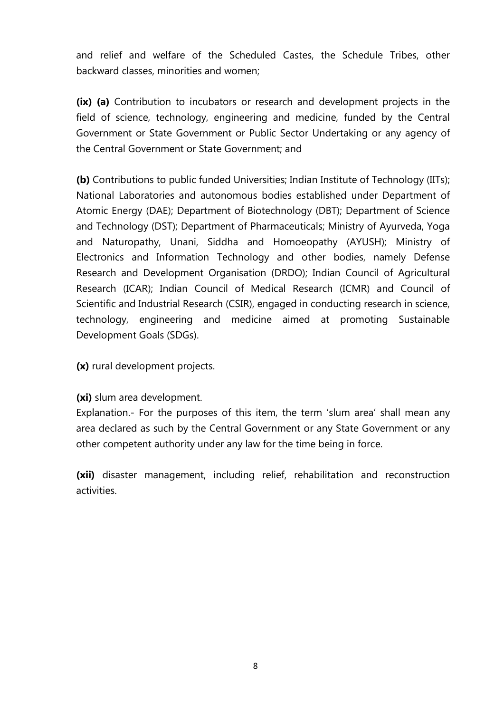and relief and welfare of the Scheduled Castes, the Schedule Tribes, other backward classes, minorities and women;

**(ix) (a)** Contribution to incubators or research and development projects in the field of science, technology, engineering and medicine, funded by the Central Government or State Government or Public Sector Undertaking or any agency of the Central Government or State Government; and

**(b)** Contributions to public funded Universities; Indian Institute of Technology (IITs); National Laboratories and autonomous bodies established under Department of Atomic Energy (DAE); Department of Biotechnology (DBT); Department of Science and Technology (DST); Department of Pharmaceuticals; Ministry of Ayurveda, Yoga and Naturopathy, Unani, Siddha and Homoeopathy (AYUSH); Ministry of Electronics and Information Technology and other bodies, namely Defense Research and Development Organisation (DRDO); Indian Council of Agricultural Research (ICAR); Indian Council of Medical Research (ICMR) and Council of Scientific and Industrial Research (CSIR), engaged in conducting research in science, technology, engineering and medicine aimed at promoting Sustainable Development Goals (SDGs).

**(x)** rural development projects.

**(xi)** slum area development.

Explanation.- For the purposes of this item, the term 'slum area' shall mean any area declared as such by the Central Government or any State Government or any other competent authority under any law for the time being in force.

**(xii)** disaster management, including relief, rehabilitation and reconstruction activities.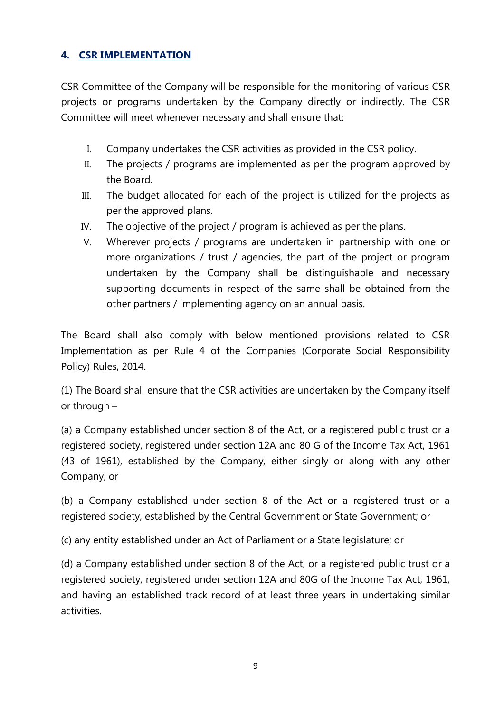## **4. CSR IMPLEMENTATION**

CSR Committee of the Company will be responsible for the monitoring of various CSR projects or programs undertaken by the Company directly or indirectly. The CSR Committee will meet whenever necessary and shall ensure that:

- I. Company undertakes the CSR activities as provided in the CSR policy.
- II. The projects / programs are implemented as per the program approved by the Board.
- III. The budget allocated for each of the project is utilized for the projects as per the approved plans.
- IV. The objective of the project / program is achieved as per the plans.
- V. Wherever projects / programs are undertaken in partnership with one or more organizations / trust / agencies, the part of the project or program undertaken by the Company shall be distinguishable and necessary supporting documents in respect of the same shall be obtained from the other partners / implementing agency on an annual basis.

The Board shall also comply with below mentioned provisions related to CSR Implementation as per Rule 4 of the Companies (Corporate Social Responsibility Policy) Rules, 2014.

(1) The Board shall ensure that the CSR activities are undertaken by the Company itself or through –

(a) a Company established under section 8 of the Act, or a registered public trust or a registered society, registered under section 12A and 80 G of the Income Tax Act, 1961 (43 of 1961), established by the Company, either singly or along with any other Company, or

(b) a Company established under section 8 of the Act or a registered trust or a registered society, established by the Central Government or State Government; or

(c) any entity established under an Act of Parliament or a State legislature; or

(d) a Company established under section 8 of the Act, or a registered public trust or a registered society, registered under section 12A and 80G of the Income Tax Act, 1961, and having an established track record of at least three years in undertaking similar activities.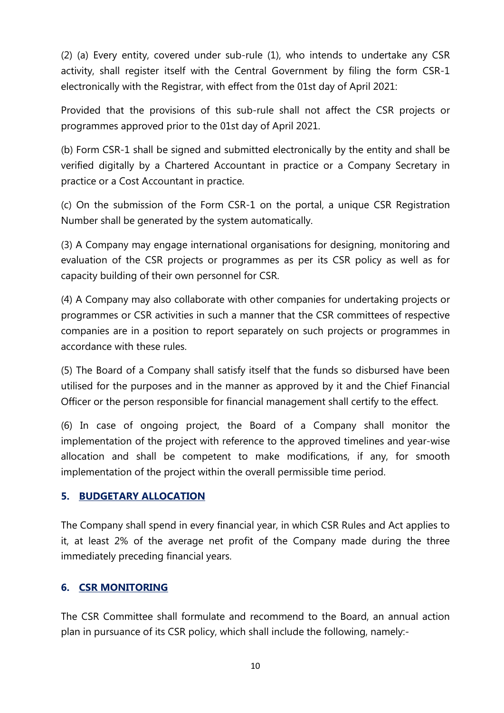(2) (a) Every entity, covered under sub-rule (1), who intends to undertake any CSR activity, shall register itself with the Central Government by filing the form CSR-1 electronically with the Registrar, with effect from the 01st day of April 2021:

Provided that the provisions of this sub-rule shall not affect the CSR projects or programmes approved prior to the 01st day of April 2021.

(b) Form CSR-1 shall be signed and submitted electronically by the entity and shall be verified digitally by a Chartered Accountant in practice or a Company Secretary in practice or a Cost Accountant in practice.

(c) On the submission of the Form CSR-1 on the portal, a unique CSR Registration Number shall be generated by the system automatically.

(3) A Company may engage international organisations for designing, monitoring and evaluation of the CSR projects or programmes as per its CSR policy as well as for capacity building of their own personnel for CSR.

(4) A Company may also collaborate with other companies for undertaking projects or programmes or CSR activities in such a manner that the CSR committees of respective companies are in a position to report separately on such projects or programmes in accordance with these rules.

(5) The Board of a Company shall satisfy itself that the funds so disbursed have been utilised for the purposes and in the manner as approved by it and the Chief Financial Officer or the person responsible for financial management shall certify to the effect.

(6) In case of ongoing project, the Board of a Company shall monitor the implementation of the project with reference to the approved timelines and year-wise allocation and shall be competent to make modifications, if any, for smooth implementation of the project within the overall permissible time period.

## **5. BUDGETARY ALLOCATION**

The Company shall spend in every financial year, in which CSR Rules and Act applies to it, at least 2% of the average net profit of the Company made during the three immediately preceding financial years.

### **6. CSR MONITORING**

The CSR Committee shall formulate and recommend to the Board, an annual action plan in pursuance of its CSR policy, which shall include the following, namely:-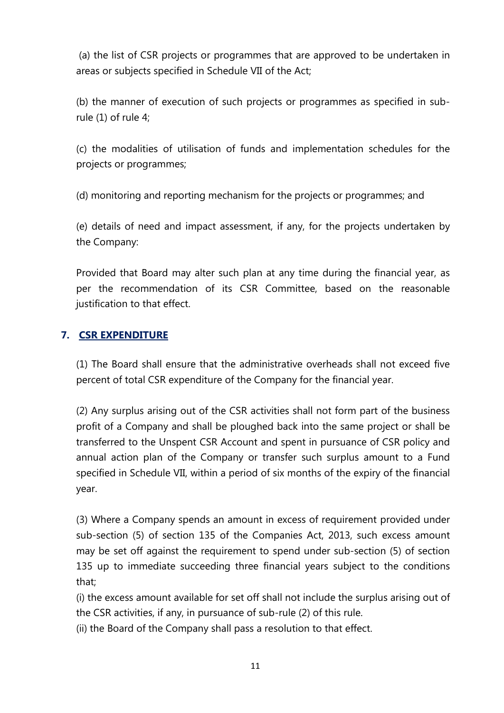(a) the list of CSR projects or programmes that are approved to be undertaken in areas or subjects specified in Schedule VII of the Act;

(b) the manner of execution of such projects or programmes as specified in subrule (1) of rule 4;

(c) the modalities of utilisation of funds and implementation schedules for the projects or programmes;

(d) monitoring and reporting mechanism for the projects or programmes; and

(e) details of need and impact assessment, if any, for the projects undertaken by the Company:

Provided that Board may alter such plan at any time during the financial year, as per the recommendation of its CSR Committee, based on the reasonable justification to that effect.

## **7. CSR EXPENDITURE**

(1) The Board shall ensure that the administrative overheads shall not exceed five percent of total CSR expenditure of the Company for the financial year.

(2) Any surplus arising out of the CSR activities shall not form part of the business profit of a Company and shall be ploughed back into the same project or shall be transferred to the Unspent CSR Account and spent in pursuance of CSR policy and annual action plan of the Company or transfer such surplus amount to a Fund specified in Schedule VII, within a period of six months of the expiry of the financial year.

(3) Where a Company spends an amount in excess of requirement provided under sub-section (5) of section 135 of the Companies Act, 2013, such excess amount may be set off against the requirement to spend under sub-section (5) of section 135 up to immediate succeeding three financial years subject to the conditions that;

(i) the excess amount available for set off shall not include the surplus arising out of the CSR activities, if any, in pursuance of sub-rule (2) of this rule.

(ii) the Board of the Company shall pass a resolution to that effect.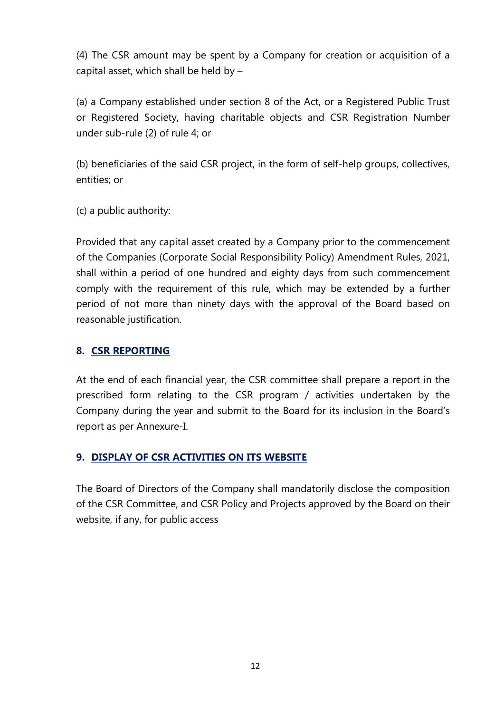(4) The CSR amount may be spent by a Company for creation or acquisition of a capital asset, which shall be held by –

(a) a Company established under section 8 of the Act, or a Registered Public Trust or Registered Society, having charitable objects and CSR Registration Number under sub-rule (2) of rule 4; or

(b) beneficiaries of the said CSR project, in the form of self-help groups, collectives, entities; or

(c) a public authority:

Provided that any capital asset created by a Company prior to the commencement of the Companies (Corporate Social Responsibility Policy) Amendment Rules, 2021, shall within a period of one hundred and eighty days from such commencement comply with the requirement of this rule, which may be extended by a further period of not more than ninety days with the approval of the Board based on reasonable justification.

### **8. CSR REPORTING**

At the end of each financial year, the CSR committee shall prepare a report in the prescribed form relating to the CSR program / activities undertaken by the Company during the year and submit to the Board for its inclusion in the Board's report as per Annexure-I.

### **9. DISPLAY OF CSR ACTIVITIES ON ITS WEBSITE**

The Board of Directors of the Company shall mandatorily disclose the composition of the CSR Committee, and CSR Policy and Projects approved by the Board on their website, if any, for public access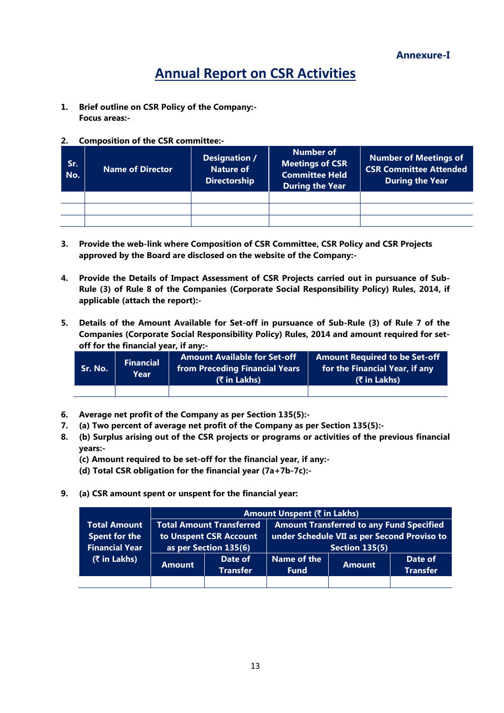**Annexure-I**

# **Annual Report on CSR Activities**

- **1. Brief outline on CSR Policy of the Company:- Focus areas:-**
- **2. Composition of the CSR committee:-**

| Sr.<br>No. | <b>Name of Director</b> | Designation /<br><b>Nature of</b><br><b>Directorship</b> | <b>Number of</b><br>Meetings of CSR<br><b>Committee Held</b><br><b>During the Year</b> | Number of Meetings of<br><b>CSR Committee Attended</b><br>During the Year |  |
|------------|-------------------------|----------------------------------------------------------|----------------------------------------------------------------------------------------|---------------------------------------------------------------------------|--|
|            |                         |                                                          |                                                                                        |                                                                           |  |
|            |                         |                                                          |                                                                                        |                                                                           |  |

- **3. Provide the web-link where Composition of CSR Committee, CSR Policy and CSR Projects approved by the Board are disclosed on the website of the Company:-**
- **4. Provide the Details of Impact Assessment of CSR Projects carried out in pursuance of Sub-Rule (3) of Rule 8 of the Companies (Corporate Social Responsibility Policy) Rules, 2014, if applicable (attach the report):-**
- **5. Details of the Amount Available for Set-off in pursuance of Sub-Rule (3) of Rule 7 of the Companies (Corporate Social Responsibility Policy) Rules, 2014 and amount required for setoff for the financial year, if any:-**

| Sr. No. <b>\</b> | <b>Financial</b><br>Year | <b>Amount Available for Set-off</b><br><b>from Preceding Financial Years</b><br>(₹ in Lakhs) | <b>Amount Required to be Set-off</b><br>for the Financial Year, if any<br>(₹ in Lakhs) |
|------------------|--------------------------|----------------------------------------------------------------------------------------------|----------------------------------------------------------------------------------------|
|                  |                          |                                                                                              |                                                                                        |

- **6. Average net profit of the Company as per Section 135(5):-**
- **7. (a) Two percent of average net profit of the Company as per Section 135(5):-**
- **8. (b) Surplus arising out of the CSR projects or programs or activities of the previous financial years:-**
	- **(c) Amount required to be set-off for the financial year, if any:-**
	- **(d) Total CSR obligation for the financial year (7a+7b-7c):-**
- **9. (a) CSR amount spent or unspent for the financial year:**

|                       | Amount Unspent (₹ in Lakhs) |                                 |                                                 |               |                 |  |  |
|-----------------------|-----------------------------|---------------------------------|-------------------------------------------------|---------------|-----------------|--|--|
| <b>Total Amount</b>   |                             | <b>Total Amount Transferred</b> | <b>Amount Transferred to any Fund Specified</b> |               |                 |  |  |
| Spent for the         |                             | to Unspent CSR Account          | under Schedule VII as per Second Proviso to     |               |                 |  |  |
| <b>Financial Year</b> |                             | as per Section 135(6)           | <b>Section 135(5)</b>                           |               |                 |  |  |
| (₹ in Lakhs)          |                             | Date of                         | Name of the                                     |               | Date of         |  |  |
|                       | <b>Amount</b>               | <b>Transfer</b>                 | <b>Fund</b>                                     | <b>Amount</b> | <b>Transfer</b> |  |  |
|                       |                             |                                 |                                                 |               |                 |  |  |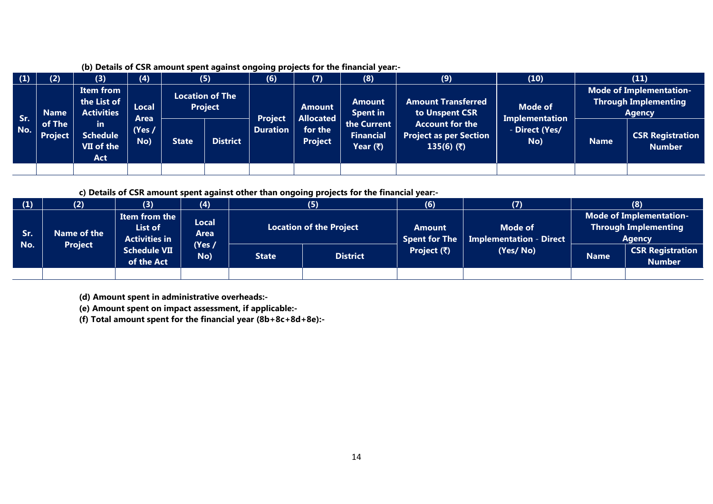| (1)        | (2)                                                 | (3)                                           | (4)                         |              | (5)                                      | (6)                               | (7)                                           | (8)                                         | (9)                                                              | (10)                                           |                                                                                | (11)                                     |
|------------|-----------------------------------------------------|-----------------------------------------------|-----------------------------|--------------|------------------------------------------|-----------------------------------|-----------------------------------------------|---------------------------------------------|------------------------------------------------------------------|------------------------------------------------|--------------------------------------------------------------------------------|------------------------------------------|
| Sr.<br>No. | <b>Name</b>                                         | Item from<br>the List of<br><b>Activities</b> | Local                       |              | <b>Location of The</b><br><b>Project</b> |                                   | <b>Amount</b>                                 | Amount<br><b>Spent in</b>                   | <b>Amount Transferred</b><br>Mode of<br>to Unspent CSR           |                                                | <b>Mode of Implementation-</b><br><b>Through Implementing</b><br><b>Agency</b> |                                          |
|            | of The<br><b>in</b><br><b>Project</b><br><b>Act</b> | <b>Schedule</b><br>VII of the                 | <b>Area</b><br>Yes /<br>No) | <b>State</b> | <b>District</b>                          | <b>Project</b><br><b>Duration</b> | <b>Allocated</b><br>for the<br><b>Project</b> | the Current<br><b>Financial</b><br>Year (₹) | <b>Account for the</b><br>Project as per Section<br>135(6) $(5)$ | <b>Implementation</b><br>- Direct (Yes/<br>No) | <b>Name</b>                                                                    | <b>CSR Registration</b><br><b>Number</b> |
|            |                                                     |                                               |                             |              |                                          |                                   |                                               |                                             |                                                                  |                                                |                                                                                |                                          |

#### **(b) Details of CSR amount spent against ongoing projects for the financial year:-**

**c) Details of CSR amount spent against other than ongoing projects for the financial year:-**

| (1)        | (2)                           | (3)                                                                                                                     | (4) |              | (5)             | (6)                         | (7)      |             | (8)                                      |  |                                |                                           |                                                                         |  |
|------------|-------------------------------|-------------------------------------------------------------------------------------------------------------------------|-----|--------------|-----------------|-----------------------------|----------|-------------|------------------------------------------|--|--------------------------------|-------------------------------------------|-------------------------------------------------------------------------|--|
| Sr.<br>No. | Name of the<br><b>Project</b> | Item from the<br>Local<br>List of<br>Area<br><b>Activities in</b><br>(Yes /<br><b>Schedule VII</b><br>No)<br>of the Act |     |              |                 |                             |          |             | <b>Location of the Project</b>           |  | Amount<br><b>Spent for The</b> | Mode of<br><b>Implementation - Direct</b> | Mode of Implementation-<br><b>Through Implementing</b><br><b>Agency</b> |  |
|            |                               |                                                                                                                         |     | <b>State</b> | <b>District</b> | Project $(\overline{\tau})$ | (Yes/No) | <b>Name</b> | <b>CSR Registration</b><br><b>Number</b> |  |                                |                                           |                                                                         |  |
|            |                               |                                                                                                                         |     |              |                 |                             |          |             |                                          |  |                                |                                           |                                                                         |  |

**(d) Amount spent in administrative overheads:-**

**(e) Amount spent on impact assessment, if applicable:-**

**(f) Total amount spent for the financial year (8b+8c+8d+8e):-**